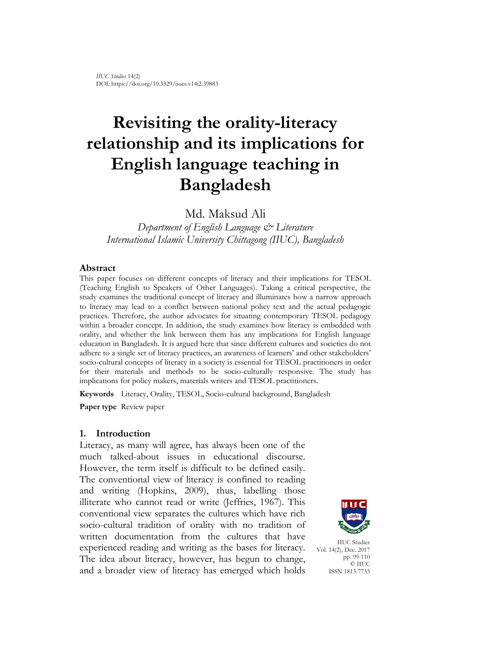# **Revisiting the orality-literacy relationship and its implications for English language teaching in Bangladesh**

Md. Maksud Ali

*Department of English Language & Literature International Islamic University Chittagong (IIUC), Bangladesh*

## **Abstract**

This paper focuses on different concepts of literacy and their implications for TESOL (Teaching English to Speakers of Other Languages). Taking a critical perspective, the study examines the traditional concept of literacy and illuminates how a narrow approach to literacy may lead to a conflict between national policy text and the actual pedagogic practices. Therefore, the author advocates for situating contemporary TESOL pedagogy within a broader concept. In addition, the study examines how literacy is embedded with orality, and whether the link between them has any implications for English language education in Bangladesh. It is argued here that since different cultures and societies do not adhere to a single set of literacy practices, an awareness of learners' and other stakeholders' socio-cultural concepts of literacy in a society is essential for TESOL practitioners in order for their materials and methods to be socio-culturally responsive. The study has implications for policy makers, materials writers and TESOL practitioners.

**Keywords** Literacy, Orality, TESOL, Socio-cultural background, Bangladesh

**Paper type** Review paper

## **1. Introduction**

Literacy, as many will agree, has always been one of the much talked-about issues in educational discourse. However, the term itself is difficult to be defined easily. The conventional view of literacy is confined to reading and writing (Hopkins, 2009), thus, labelling those illiterate who cannot read or write (Jeffries, 1967). This conventional view separates the cultures which have rich socio-cultural tradition of orality with no tradition of written documentation from the cultures that have experienced reading and writing as the bases for literacy. The idea about literacy, however, has begun to change, and a broader view of literacy has emerged which holds



IIUC Studies Vol. 14(2), Dec. 2017 pp. 99-110 © IIUC ISSN 1813-7733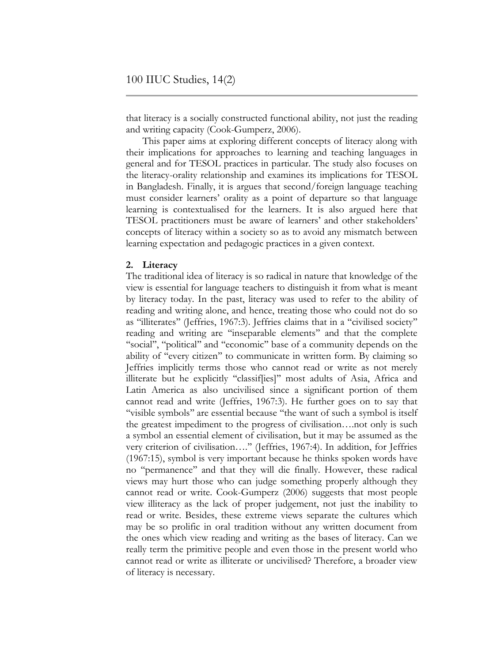that literacy is a socially constructed functional ability, not just the reading and writing capacity (Cook-Gumperz, 2006).

This paper aims at exploring different concepts of literacy along with their implications for approaches to learning and teaching languages in general and for TESOL practices in particular. The study also focuses on the literacy-orality relationship and examines its implications for TESOL in Bangladesh. Finally, it is argues that second/foreign language teaching must consider learners' orality as a point of departure so that language learning is contextualised for the learners. It is also argued here that TESOL practitioners must be aware of learners' and other stakeholders' concepts of literacy within a society so as to avoid any mismatch between learning expectation and pedagogic practices in a given context.

## **2. Literacy**

The traditional idea of literacy is so radical in nature that knowledge of the view is essential for language teachers to distinguish it from what is meant by literacy today. In the past, literacy was used to refer to the ability of reading and writing alone, and hence, treating those who could not do so as ''illiterates'' (Jeffries, 1967:3). Jeffries claims that in a ''civilised society'' reading and writing are ''inseparable elements'' and that the complete "social", "political" and "economic" base of a community depends on the ability of "every citizen" to communicate in written form. By claiming so Jeffries implicitly terms those who cannot read or write as not merely illiterate but he explicitly ''classif[ies]'' most adults of Asia, Africa and Latin America as also uncivilised since a significant portion of them cannot read and write (Jeffries, 1967:3). He further goes on to say that "visible symbols" are essential because "the want of such a symbol is itself the greatest impediment to the progress of civilisation….not only is such a symbol an essential element of civilisation, but it may be assumed as the very criterion of civilisation….'' (Jeffries, 1967:4). In addition, for Jeffries (1967:15), symbol is very important because he thinks spoken words have no ''permanence'' and that they will die finally. However, these radical views may hurt those who can judge something properly although they cannot read or write. Cook-Gumperz (2006) suggests that most people view illiteracy as the lack of proper judgement, not just the inability to read or write. Besides, these extreme views separate the cultures which may be so prolific in oral tradition without any written document from the ones which view reading and writing as the bases of literacy. Can we really term the primitive people and even those in the present world who cannot read or write as illiterate or uncivilised? Therefore, a broader view of literacy is necessary.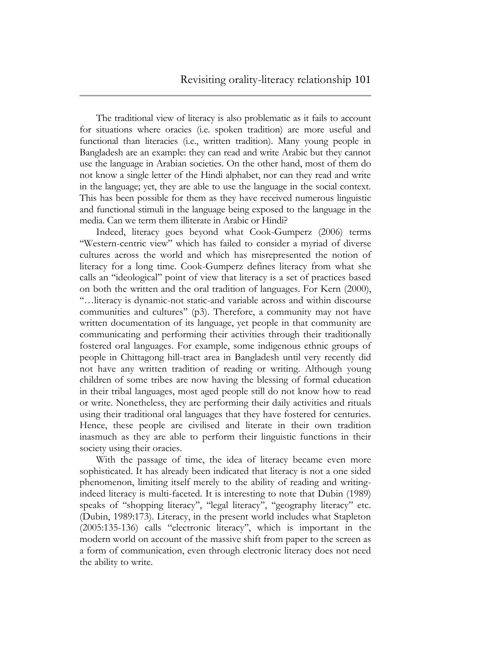The traditional view of literacy is also problematic as it fails to account for situations where oracies (i.e. spoken tradition) are more useful and functional than literacies (i.e., written tradition). Many young people in Bangladesh are an example: they can read and write Arabic but they cannot use the language in Arabian societies. On the other hand, most of them do not know a single letter of the Hindi alphabet, nor can they read and write in the language; yet, they are able to use the language in the social context. This has been possible for them as they have received numerous linguistic and functional stimuli in the language being exposed to the language in the media. Can we term them illiterate in Arabic or Hindi?

Indeed, literacy goes beyond what Cook-Gumperz (2006) terms ''Western-centric view'' which has failed to consider a myriad of diverse cultures across the world and which has misrepresented the notion of literacy for a long time. Cook-Gumperz defines literacy from what she calls an ''ideological'' point of view that literacy is a set of practices based on both the written and the oral tradition of languages. For Kern (2000), ''…literacy is dynamic-not static-and variable across and within discourse communities and cultures'' (p3). Therefore, a community may not have written documentation of its language, yet people in that community are communicating and performing their activities through their traditionally fostered oral languages. For example, some indigenous ethnic groups of people in Chittagong hill-tract area in Bangladesh until very recently did not have any written tradition of reading or writing. Although young children of some tribes are now having the blessing of formal education in their tribal languages, most aged people still do not know how to read or write. Nonetheless, they are performing their daily activities and rituals using their traditional oral languages that they have fostered for centuries. Hence, these people are civilised and literate in their own tradition inasmuch as they are able to perform their linguistic functions in their society using their oracies.

With the passage of time, the idea of literacy became even more sophisticated. It has already been indicated that literacy is not a one sided phenomenon, limiting itself merely to the ability of reading and writingindeed literacy is multi-faceted. It is interesting to note that Dubin (1989) speaks of ''shopping literacy'', ''legal literacy'', ''geography literacy'' etc. (Dubin, 1989:173). Literacy, in the present world includes what Stapleton (2005:135-136) calls ''electronic literacy'', which is important in the modern world on account of the massive shift from paper to the screen as a form of communication, even through electronic literacy does not need the ability to write.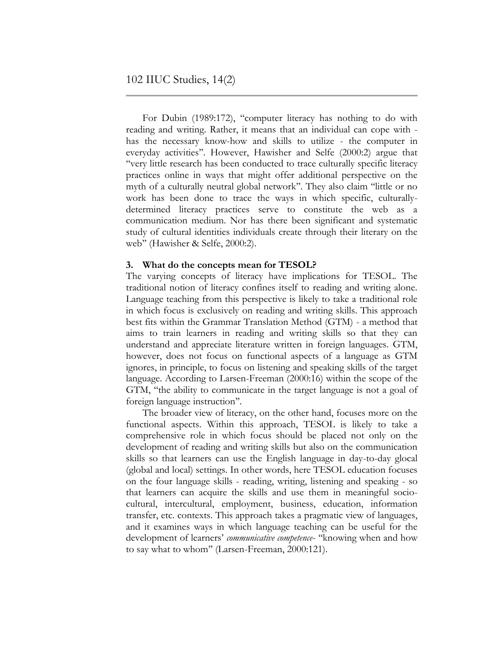For Dubin (1989:172), "computer literacy has nothing to do with reading and writing. Rather, it means that an individual can cope with has the necessary know-how and skills to utilize - the computer in everyday activities''. However, Hawisher and Selfe (2000:2) argue that ''very little research has been conducted to trace culturally specific literacy practices online in ways that might offer additional perspective on the myth of a culturally neutral global network''. They also claim ''little or no work has been done to trace the ways in which specific, culturallydetermined literacy practices serve to constitute the web as a communication medium. Nor has there been significant and systematic study of cultural identities individuals create through their literary on the web'' (Hawisher & Selfe, 2000:2).

## **3. What do the concepts mean for TESOL?**

The varying concepts of literacy have implications for TESOL. The traditional notion of literacy confines itself to reading and writing alone. Language teaching from this perspective is likely to take a traditional role in which focus is exclusively on reading and writing skills. This approach best fits within the Grammar Translation Method (GTM) - a method that aims to train learners in reading and writing skills so that they can understand and appreciate literature written in foreign languages. GTM, however, does not focus on functional aspects of a language as GTM ignores, in principle, to focus on listening and speaking skills of the target language. According to Larsen-Freeman (2000:16) within the scope of the GTM, ''the ability to communicate in the target language is not a goal of foreign language instruction''.

The broader view of literacy, on the other hand, focuses more on the functional aspects. Within this approach, TESOL is likely to take a comprehensive role in which focus should be placed not only on the development of reading and writing skills but also on the communication skills so that learners can use the English language in day-to-day glocal (global and local) settings. In other words, here TESOL education focuses on the four language skills - reading, writing, listening and speaking - so that learners can acquire the skills and use them in meaningful sociocultural, intercultural, employment, business, education, information transfer, etc. contexts. This approach takes a pragmatic view of languages, and it examines ways in which language teaching can be useful for the development of learners' *communicative competence*- ''knowing when and how to say what to whom'' (Larsen-Freeman, 2000:121).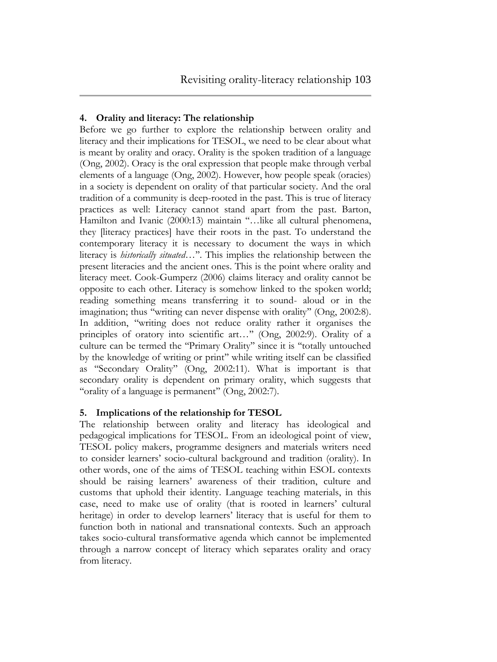# **4. Orality and literacy: The relationship**

Before we go further to explore the relationship between orality and literacy and their implications for TESOL, we need to be clear about what is meant by orality and oracy. Orality is the spoken tradition of a language (Ong, 2002). Oracy is the oral expression that people make through verbal elements of a language (Ong, 2002). However, how people speak (oracies) in a society is dependent on orality of that particular society. And the oral tradition of a community is deep-rooted in the past. This is true of literacy practices as well: Literacy cannot stand apart from the past. Barton, Hamilton and Ivanic (2000:13) maintain "...like all cultural phenomena, they [literacy practices] have their roots in the past. To understand the contemporary literacy it is necessary to document the ways in which literacy is *historically situated*…''. This implies the relationship between the present literacies and the ancient ones. This is the point where orality and literacy meet. Cook-Gumperz (2006) claims literacy and orality cannot be opposite to each other. Literacy is somehow linked to the spoken world; reading something means transferring it to sound- aloud or in the imagination; thus "writing can never dispense with orality" (Ong, 2002:8). In addition, ''writing does not reduce orality rather it organises the principles of oratory into scientific art…'' (Ong, 2002:9). Orality of a culture can be termed the ''Primary Orality'' since it is ''totally untouched by the knowledge of writing or print'' while writing itself can be classified as ''Secondary Orality'' (Ong, 2002:11). What is important is that secondary orality is dependent on primary orality, which suggests that "orality of a language is permanent" (Ong, 2002:7).

# **5. Implications of the relationship for TESOL**

The relationship between orality and literacy has ideological and pedagogical implications for TESOL. From an ideological point of view, TESOL policy makers, programme designers and materials writers need to consider learners' socio-cultural background and tradition (orality). In other words, one of the aims of TESOL teaching within ESOL contexts should be raising learners' awareness of their tradition, culture and customs that uphold their identity. Language teaching materials, in this case, need to make use of orality (that is rooted in learners' cultural heritage) in order to develop learners' literacy that is useful for them to function both in national and transnational contexts. Such an approach takes socio-cultural transformative agenda which cannot be implemented through a narrow concept of literacy which separates orality and oracy from literacy.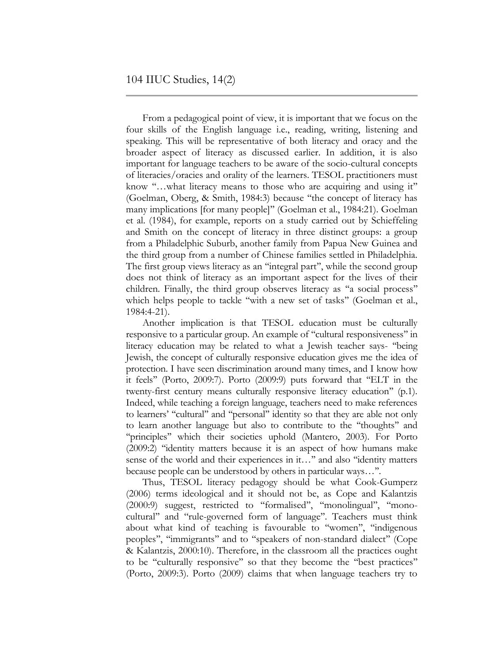From a pedagogical point of view, it is important that we focus on the four skills of the English language i.e., reading, writing, listening and speaking. This will be representative of both literacy and oracy and the broader aspect of literacy as discussed earlier. In addition, it is also important for language teachers to be aware of the socio-cultural concepts of literacies/oracies and orality of the learners. TESOL practitioners must know "...what literacy means to those who are acquiring and using it" (Goelman, Oberg, & Smith, 1984:3) because ''the concept of literacy has many implications [for many people]'' (Goelman et al., 1984:21). Goelman et al. (1984), for example, reports on a study carried out by Schieffeling and Smith on the concept of literacy in three distinct groups: a group from a Philadelphic Suburb, another family from Papua New Guinea and the third group from a number of Chinese families settled in Philadelphia. The first group views literacy as an "integral part", while the second group does not think of literacy as an important aspect for the lives of their children. Finally, the third group observes literacy as ''a social process'' which helps people to tackle "with a new set of tasks" (Goelman et al., 1984:4-21).

Another implication is that TESOL education must be culturally responsive to a particular group. An example of ''cultural responsiveness'' in literacy education may be related to what a Jewish teacher says- ''being Jewish, the concept of culturally responsive education gives me the idea of protection. I have seen discrimination around many times, and I know how it feels'' (Porto, 2009:7). Porto (2009:9) puts forward that ''ELT in the twenty-first century means culturally responsive literacy education'' (p.1). Indeed, while teaching a foreign language, teachers need to make references to learners' "cultural" and "personal" identity so that they are able not only to learn another language but also to contribute to the ''thoughts'' and "principles" which their societies uphold (Mantero, 2003). For Porto (2009:2) ''identity matters because it is an aspect of how humans make sense of the world and their experiences in it…" and also "identity matters because people can be understood by others in particular ways…''.

Thus, TESOL literacy pedagogy should be what Cook-Gumperz (2006) terms ideological and it should not be, as Cope and Kalantzis (2000:9) suggest, restricted to ''formalised'', ''monolingual'', ''monocultural'' and ''rule-governed form of language''. Teachers must think about what kind of teaching is favourable to ''women'', ''indigenous peoples'', ''immigrants'' and to ''speakers of non-standard dialect'' (Cope & Kalantzis, 2000:10). Therefore, in the classroom all the practices ought to be ''culturally responsive'' so that they become the ''best practices'' (Porto, 2009:3). Porto (2009) claims that when language teachers try to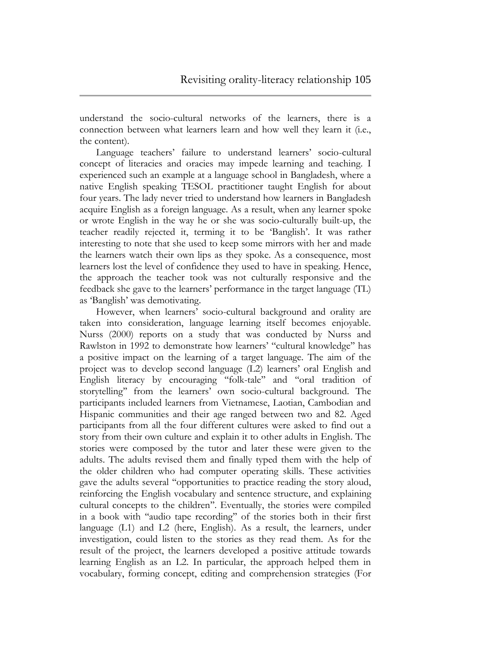understand the socio-cultural networks of the learners, there is a connection between what learners learn and how well they learn it (i.e., the content).

Language teachers' failure to understand learners' socio-cultural concept of literacies and oracies may impede learning and teaching. I experienced such an example at a language school in Bangladesh, where a native English speaking TESOL practitioner taught English for about four years. The lady never tried to understand how learners in Bangladesh acquire English as a foreign language. As a result, when any learner spoke or wrote English in the way he or she was socio-culturally built-up, the teacher readily rejected it, terming it to be 'Banglish'. It was rather interesting to note that she used to keep some mirrors with her and made the learners watch their own lips as they spoke. As a consequence, most learners lost the level of confidence they used to have in speaking. Hence, the approach the teacher took was not culturally responsive and the feedback she gave to the learners' performance in the target language (TL) as 'Banglish' was demotivating.

However, when learners' socio-cultural background and orality are taken into consideration, language learning itself becomes enjoyable. Nurss (2000) reports on a study that was conducted by Nurss and Rawlston in 1992 to demonstrate how learners' ''cultural knowledge'' has a positive impact on the learning of a target language. The aim of the project was to develop second language (L2) learners' oral English and English literacy by encouraging ''folk-tale'' and ''oral tradition of storytelling'' from the learners' own socio-cultural background. The participants included learners from Vietnamese, Laotian, Cambodian and Hispanic communities and their age ranged between two and 82. Aged participants from all the four different cultures were asked to find out a story from their own culture and explain it to other adults in English. The stories were composed by the tutor and later these were given to the adults. The adults revised them and finally typed them with the help of the older children who had computer operating skills. These activities gave the adults several ''opportunities to practice reading the story aloud, reinforcing the English vocabulary and sentence structure, and explaining cultural concepts to the children''. Eventually, the stories were compiled in a book with ''audio tape recording'' of the stories both in their first language (L1) and L2 (here, English). As a result, the learners, under investigation, could listen to the stories as they read them. As for the result of the project, the learners developed a positive attitude towards learning English as an L2. In particular, the approach helped them in vocabulary, forming concept, editing and comprehension strategies (For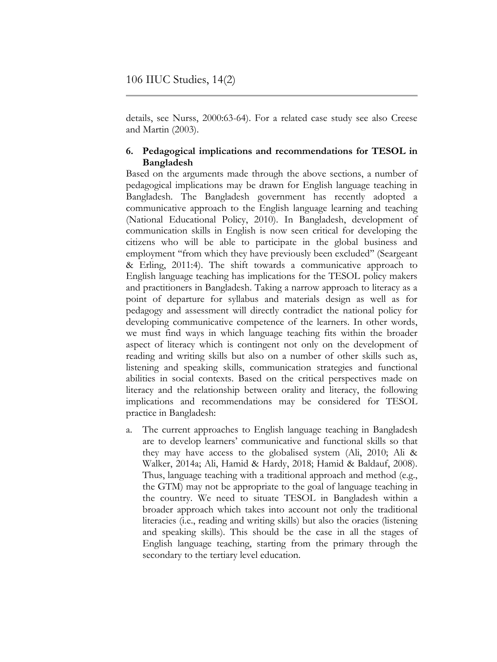details, see Nurss, 2000:63-64). For a related case study see also Creese and Martin (2003).

## **6. Pedagogical implications and recommendations for TESOL in Bangladesh**

Based on the arguments made through the above sections, a number of pedagogical implications may be drawn for English language teaching in Bangladesh. The Bangladesh government has recently adopted a communicative approach to the English language learning and teaching (National Educational Policy, 2010). In Bangladesh, development of communication skills in English is now seen critical for developing the citizens who will be able to participate in the global business and employment ''from which they have previously been excluded'' (Seargeant & Erling, 2011:4). The shift towards a communicative approach to English language teaching has implications for the TESOL policy makers and practitioners in Bangladesh. Taking a narrow approach to literacy as a point of departure for syllabus and materials design as well as for pedagogy and assessment will directly contradict the national policy for developing communicative competence of the learners. In other words, we must find ways in which language teaching fits within the broader aspect of literacy which is contingent not only on the development of reading and writing skills but also on a number of other skills such as, listening and speaking skills, communication strategies and functional abilities in social contexts. Based on the critical perspectives made on literacy and the relationship between orality and literacy, the following implications and recommendations may be considered for TESOL practice in Bangladesh:

a. The current approaches to English language teaching in Bangladesh are to develop learners' communicative and functional skills so that they may have access to the globalised system (Ali, 2010; Ali & Walker, 2014a; Ali, Hamid & Hardy, 2018; Hamid & Baldauf, 2008). Thus, language teaching with a traditional approach and method (e.g., the GTM) may not be appropriate to the goal of language teaching in the country. We need to situate TESOL in Bangladesh within a broader approach which takes into account not only the traditional literacies (i.e., reading and writing skills) but also the oracies (listening and speaking skills). This should be the case in all the stages of English language teaching, starting from the primary through the secondary to the tertiary level education.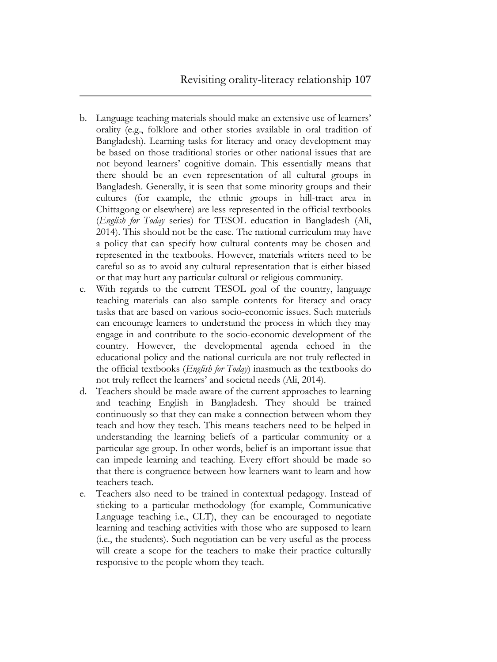- b. Language teaching materials should make an extensive use of learners' orality (e.g., folklore and other stories available in oral tradition of Bangladesh). Learning tasks for literacy and oracy development may be based on those traditional stories or other national issues that are not beyond learners' cognitive domain. This essentially means that there should be an even representation of all cultural groups in Bangladesh. Generally, it is seen that some minority groups and their cultures (for example, the ethnic groups in hill-tract area in Chittagong or elsewhere) are less represented in the official textbooks (*English for Today* series) for TESOL education in Bangladesh (Ali, 2014). This should not be the case. The national curriculum may have a policy that can specify how cultural contents may be chosen and represented in the textbooks. However, materials writers need to be careful so as to avoid any cultural representation that is either biased or that may hurt any particular cultural or religious community.
- c. With regards to the current TESOL goal of the country, language teaching materials can also sample contents for literacy and oracy tasks that are based on various socio-economic issues. Such materials can encourage learners to understand the process in which they may engage in and contribute to the socio-economic development of the country. However, the developmental agenda echoed in the educational policy and the national curricula are not truly reflected in the official textbooks (*English for Today*) inasmuch as the textbooks do not truly reflect the learners' and societal needs (Ali, 2014).
- d. Teachers should be made aware of the current approaches to learning and teaching English in Bangladesh. They should be trained continuously so that they can make a connection between whom they teach and how they teach. This means teachers need to be helped in understanding the learning beliefs of a particular community or a particular age group. In other words, belief is an important issue that can impede learning and teaching. Every effort should be made so that there is congruence between how learners want to learn and how teachers teach.
- e. Teachers also need to be trained in contextual pedagogy. Instead of sticking to a particular methodology (for example, Communicative Language teaching i.e., CLT), they can be encouraged to negotiate learning and teaching activities with those who are supposed to learn (i.e., the students). Such negotiation can be very useful as the process will create a scope for the teachers to make their practice culturally responsive to the people whom they teach.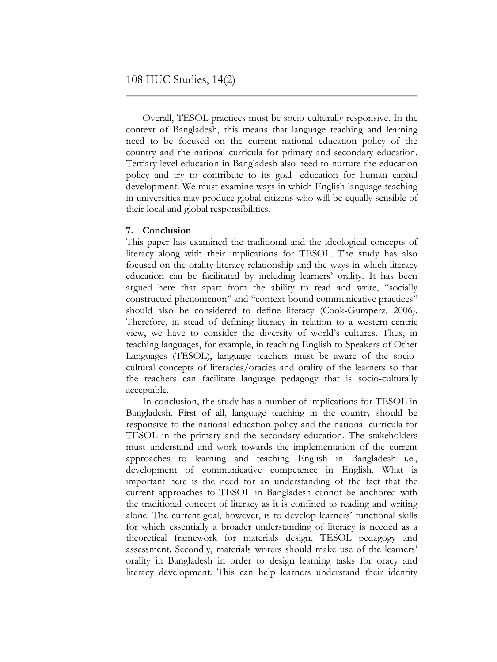Overall, TESOL practices must be socio-culturally responsive. In the context of Bangladesh, this means that language teaching and learning need to be focused on the current national education policy of the country and the national curricula for primary and secondary education. Tertiary level education in Bangladesh also need to nurture the education policy and try to contribute to its goal- education for human capital development. We must examine ways in which English language teaching in universities may produce global citizens who will be equally sensible of their local and global responsibilities.

## **7. Conclusion**

This paper has examined the traditional and the ideological concepts of literacy along with their implications for TESOL. The study has also focused on the orality-literacy relationship and the ways in which literacy education can be facilitated by including learners' orality. It has been argued here that apart from the ability to read and write, ''socially constructed phenomenon'' and ''context-bound communicative practices'' should also be considered to define literacy (Cook-Gumperz, 2006). Therefore, in stead of defining literacy in relation to a western-centric view, we have to consider the diversity of world's cultures. Thus, in teaching languages, for example, in teaching English to Speakers of Other Languages (TESOL), language teachers must be aware of the sociocultural concepts of literacies/oracies and orality of the learners so that the teachers can facilitate language pedagogy that is socio-culturally acceptable.

In conclusion, the study has a number of implications for TESOL in Bangladesh. First of all, language teaching in the country should be responsive to the national education policy and the national curricula for TESOL in the primary and the secondary education. The stakeholders must understand and work towards the implementation of the current approaches to learning and teaching English in Bangladesh i.e., development of communicative competence in English. What is important here is the need for an understanding of the fact that the current approaches to TESOL in Bangladesh cannot be anchored with the traditional concept of literacy as it is confined to reading and writing alone. The current goal, however, is to develop learners' functional skills for which essentially a broader understanding of literacy is needed as a theoretical framework for materials design, TESOL pedagogy and assessment. Secondly, materials writers should make use of the learners' orality in Bangladesh in order to design learning tasks for oracy and literacy development. This can help learners understand their identity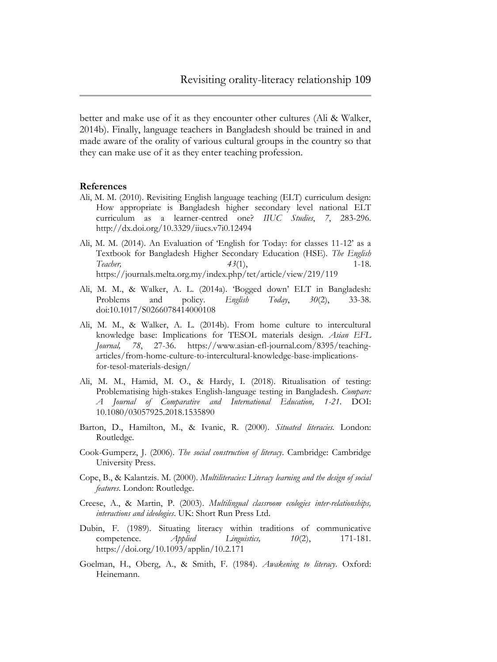better and make use of it as they encounter other cultures (Ali & Walker, 2014b). Finally, language teachers in Bangladesh should be trained in and made aware of the orality of various cultural groups in the country so that they can make use of it as they enter teaching profession.

## **References**

- Ali, M. M. (2010). Revisiting English language teaching (ELT) curriculum design: How appropriate is Bangladesh higher secondary level national ELT curriculum as a learner-centred one? *IIUC Studies*, *7*, 283-296. <http://dx.doi.org/10.3329/iiucs.v7i0.12494>
- Ali, M. M. (2014). An Evaluation of 'English for Today: for classes 11-12' as a Textbook for Bangladesh Higher Secondary Education (HSE). *The English Teacher, 43*(1), 1-18. <https://journals.melta.org.my/index.php/tet/article/view/219/119>
- Ali, M. M., & Walker, A. L. (2014a). 'Bogged down' ELT in Bangladesh: Problems and policy. *English Today*, *30*(2), 33-38. [doi:10.1017/S0266078414000108](https://doi.org/10.1017/S0266078414000108)
- Ali, M. M., & Walker, A. L. (2014b). From home culture to intercultural knowledge base: Implications for TESOL materials design. *Asian EFL Journal, 78*, 27-36. [https://www.asian-efl-journal.com/8395/teaching](https://www.asian-efl-journal.com/8395/teaching-articles/from-home-culture-to-intercultural-knowledge-base-implications-for-tesol-materials-design/)[articles/from-home-culture-to-intercultural-knowledge-base-implications](https://www.asian-efl-journal.com/8395/teaching-articles/from-home-culture-to-intercultural-knowledge-base-implications-for-tesol-materials-design/)[for-tesol-materials-design/](https://www.asian-efl-journal.com/8395/teaching-articles/from-home-culture-to-intercultural-knowledge-base-implications-for-tesol-materials-design/)
- Ali, M. M., Hamid, M. O., & Hardy, I. (2018). [Ritualisation of testing:](javascript:void(0))  [Problematising high-stakes English-language testing in Bangladesh.](javascript:void(0)) *Compare: A Journal of Comparative and International Education, 1-21*. DOI: 10.1080/03057925.2018.1535890
- Barton, D., Hamilton, M., & Ivanic, R. (2000). *Situated literacies.* London: Routledge.
- Cook-Gumperz, J. (2006). *The social construction of literacy*. Cambridge: Cambridge University Press.
- Cope, B., & Kalantzis. M. (2000). *Multiliteracies: Literacy learning and the design of social features.* London: Routledge.
- Creese, A., & Martin, P. (2003). *Multilingual classroom ecologies inter-relationships, interactions and ideologies*. UK: Short Run Press Ltd.
- Dubin, F. (1989). Situating literacy within traditions of communicative competence. *Applied Linguistics, 10*(2), 171-181*.* <https://doi.org/10.1093/applin/10.2.171>
- Goelman, H., Oberg, A., & Smith, F. (1984). *Awakening to literacy*. Oxford: Heinemann.